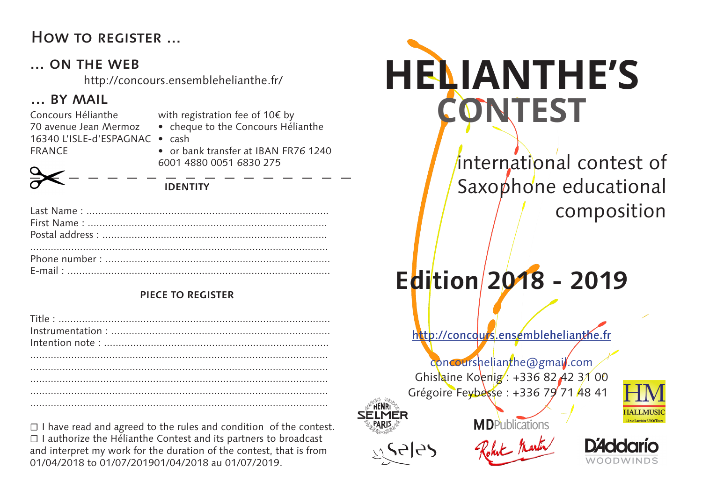### How to register ...

### ... ON THE WEB

http://concours.ensemblehelianthe.fr/

### ... BY MAIL

16340 L'ISLE-d'ESPAGNAC • cash Concours Hélianthe 70 avenue Jean Mermoz FRANCE

with registration fee of 10€ by

• cheque to the Concours Hélianthe

• or bank transfer at IBAN FR76 1240 6001 4880 0051 6830 275

**IDENTITY**

### **PIECE TO REGISTER**

| $\label{eq:instruction} {\small \begin{minipage}{0.9\linewidth} \begin{minipage}{0.9\linewidth} \begin{minipage}{0.9\linewidth} \begin{minipage}{0.9\linewidth} \begin{minipage}{0.9\linewidth} \end{minipage} \end{minipage} } \begin{minipage}{0.9\linewidth} \begin{minipage}{0.9\linewidth} \begin{minipage}{0.9\linewidth} \begin{minipage}{0.9\linewidth} \end{minipage} \end{minipage} } \end{minipage} } \end{minipage} } \begin{minipage}{0.9\linewidth} \begin{minipage}{0.9\linewidth} \begin{minipage}{0.9\linewidth} \begin{minipage}{0$ |  |
|-------------------------------------------------------------------------------------------------------------------------------------------------------------------------------------------------------------------------------------------------------------------------------------------------------------------------------------------------------------------------------------------------------------------------------------------------------------------------------------------------------------------------------------------------------|--|
|                                                                                                                                                                                                                                                                                                                                                                                                                                                                                                                                                       |  |
|                                                                                                                                                                                                                                                                                                                                                                                                                                                                                                                                                       |  |
|                                                                                                                                                                                                                                                                                                                                                                                                                                                                                                                                                       |  |
|                                                                                                                                                                                                                                                                                                                                                                                                                                                                                                                                                       |  |
|                                                                                                                                                                                                                                                                                                                                                                                                                                                                                                                                                       |  |
|                                                                                                                                                                                                                                                                                                                                                                                                                                                                                                                                                       |  |

☐ I have read and agreed to the rules and condition of the contest. ☐ I authorize the Hélianthe Contest and its partners to broadcast and interpret my work for the duration of the contest, that is from 01/04/2018 to 01/07/201901/04/2018 au 01/07/2019.